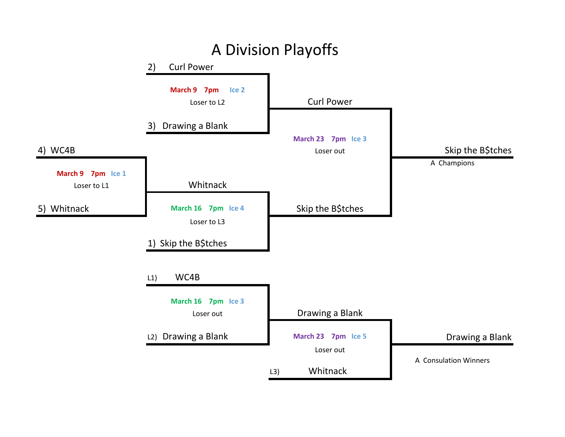## A Division Playoffs

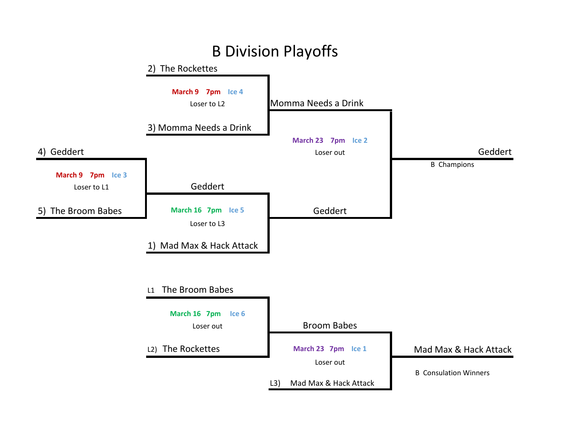## B Division Playoffs